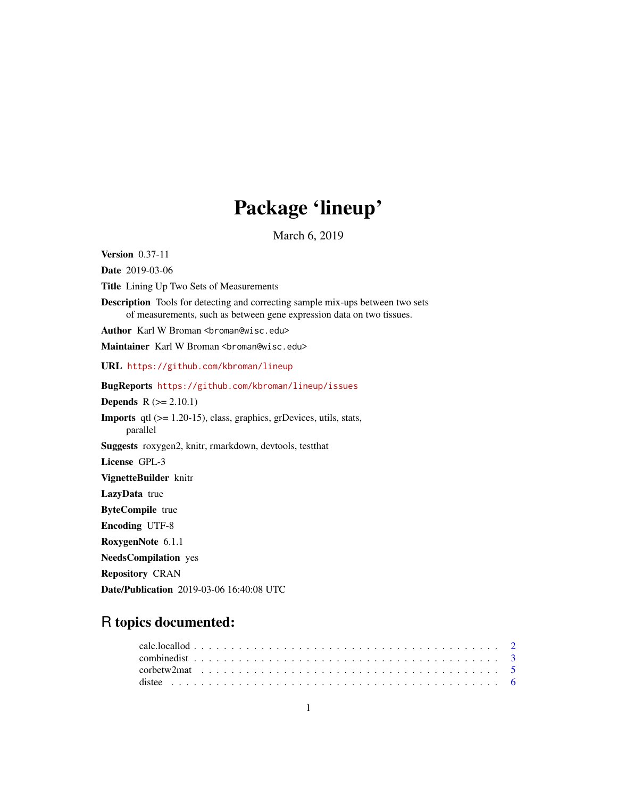# Package 'lineup'

March 6, 2019

<span id="page-0-0"></span>Version 0.37-11 Date 2019-03-06 Title Lining Up Two Sets of Measurements Description Tools for detecting and correcting sample mix-ups between two sets of measurements, such as between gene expression data on two tissues. Author Karl W Broman <br/>broman@wisc.edu> Maintainer Karl W Broman <br />broman@wisc.edu> URL <https://github.com/kbroman/lineup> BugReports <https://github.com/kbroman/lineup/issues> **Depends**  $R$  ( $>= 2.10.1$ ) Imports qtl (>= 1.20-15), class, graphics, grDevices, utils, stats, parallel Suggests roxygen2, knitr, rmarkdown, devtools, testthat License GPL-3 VignetteBuilder knitr LazyData true ByteCompile true Encoding UTF-8 RoxygenNote 6.1.1 NeedsCompilation yes Repository CRAN

# Date/Publication 2019-03-06 16:40:08 UTC

# R topics documented: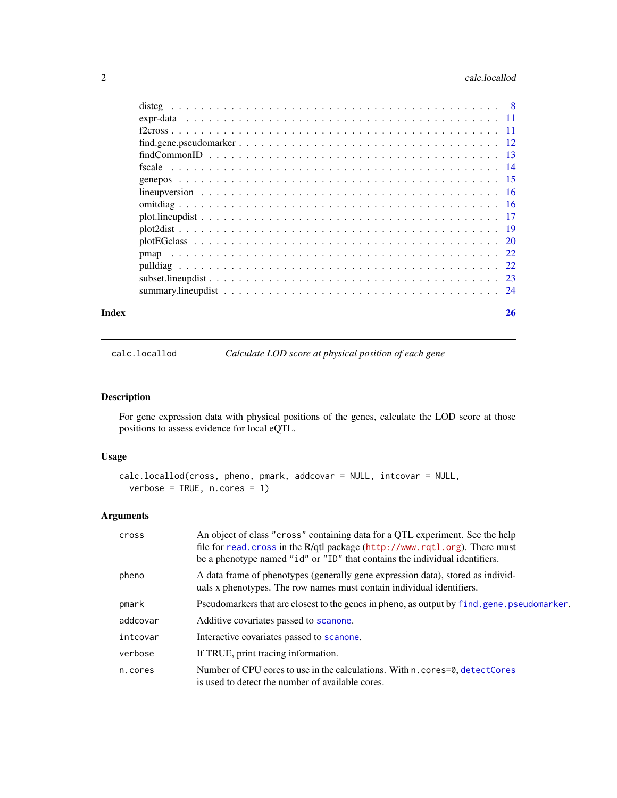# <span id="page-1-0"></span>2 calc.locallod 2

| Index | 26 |
|-------|----|
|       |    |
|       |    |
|       |    |
|       |    |
|       |    |
|       |    |
|       |    |
|       |    |
|       |    |
|       |    |
|       |    |
|       |    |
|       |    |
|       |    |
|       |    |
|       |    |

<span id="page-1-1"></span>

calc.locallod *Calculate LOD score at physical position of each gene*

# Description

For gene expression data with physical positions of the genes, calculate the LOD score at those positions to assess evidence for local eQTL.

# Usage

```
calc.locallod(cross, pheno, pmark, addcovar = NULL, intcovar = NULL,
  verbose = TRUE, n.cores = 1)
```
# Arguments

| cross    | An object of class "cross" containing data for a QTL experiment. See the help<br>file for read. cross in the R/qtl package (http://www.rqtl.org). There must<br>be a phenotype named "id" or "ID" that contains the individual identifiers. |
|----------|---------------------------------------------------------------------------------------------------------------------------------------------------------------------------------------------------------------------------------------------|
| pheno    | A data frame of phenotypes (generally gene expression data), stored as individ-<br>uals x phenotypes. The row names must contain individual identifiers.                                                                                    |
| pmark    | Pseudomarkers that are closest to the genes in pheno, as output by find, gene, pseudomarker.                                                                                                                                                |
| addcovar | Additive covariates passed to scanone.                                                                                                                                                                                                      |
| intcovar | Interactive covariates passed to scanone.                                                                                                                                                                                                   |
| verbose  | If TRUE, print tracing information.                                                                                                                                                                                                         |
| n.cores  | Number of CPU cores to use in the calculations. With n. cores=0, detectCores<br>is used to detect the number of available cores.                                                                                                            |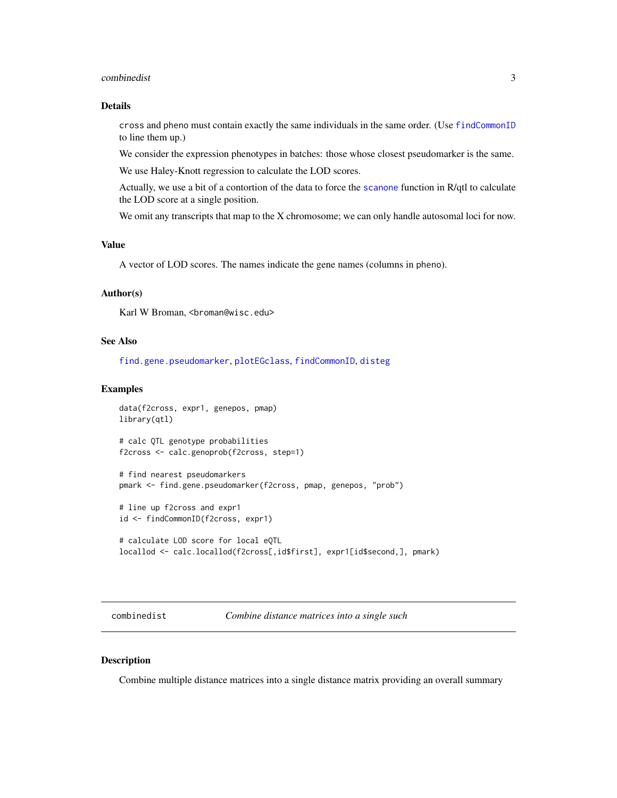#### <span id="page-2-0"></span>combinedist 3

# Details

cross and pheno must contain exactly the same individuals in the same order. (Use [findCommonID](#page-12-1) to line them up.)

We consider the expression phenotypes in batches: those whose closest pseudomarker is the same.

We use Haley-Knott regression to calculate the LOD scores.

Actually, we use a bit of a contortion of the data to force the [scanone](#page-0-0) function in R/qtl to calculate the LOD score at a single position.

We omit any transcripts that map to the X chromosome; we can only handle autosomal loci for now.

# Value

A vector of LOD scores. The names indicate the gene names (columns in pheno).

# Author(s)

Karl W Broman, <br />
throman@wisc.edu>

#### See Also

[find.gene.pseudomarker](#page-11-1), [plotEGclass](#page-19-1), [findCommonID](#page-12-1), [disteg](#page-7-1)

# Examples

```
data(f2cross, expr1, genepos, pmap)
library(qtl)
# calc QTL genotype probabilities
```
f2cross <- calc.genoprob(f2cross, step=1)

# find nearest pseudomarkers pmark <- find.gene.pseudomarker(f2cross, pmap, genepos, "prob")

# line up f2cross and expr1 id <- findCommonID(f2cross, expr1)

```
# calculate LOD score for local eQTL
locallod <- calc.locallod(f2cross[,id$first], expr1[id$second,], pmark)
```
combinedist *Combine distance matrices into a single such*

# Description

Combine multiple distance matrices into a single distance matrix providing an overall summary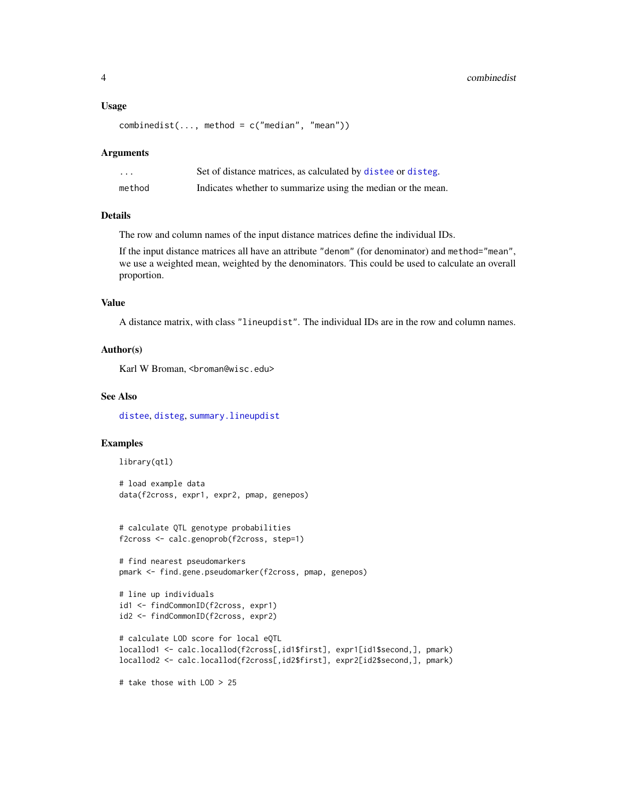#### <span id="page-3-0"></span>Usage

```
combinedist(..., method = c("median", "mean"))
```
#### Arguments

| .      | Set of distance matrices, as calculated by distee or disteg. |
|--------|--------------------------------------------------------------|
| method | Indicates whether to summarize using the median or the mean. |

#### Details

The row and column names of the input distance matrices define the individual IDs.

If the input distance matrices all have an attribute "denom" (for denominator) and method="mean", we use a weighted mean, weighted by the denominators. This could be used to calculate an overall proportion.

#### Value

A distance matrix, with class "lineupdist". The individual IDs are in the row and column names.

# Author(s)

Karl W Broman, <broman@wisc.edu>

#### See Also

[distee](#page-5-1), [disteg](#page-7-1), [summary.lineupdist](#page-23-1)

# Examples

```
library(qtl)
```

```
# load example data
data(f2cross, expr1, expr2, pmap, genepos)
```

```
# calculate QTL genotype probabilities
f2cross <- calc.genoprob(f2cross, step=1)
```

```
# find nearest pseudomarkers
pmark <- find.gene.pseudomarker(f2cross, pmap, genepos)
```

```
# line up individuals
id1 <- findCommonID(f2cross, expr1)
id2 <- findCommonID(f2cross, expr2)
```

```
# calculate LOD score for local eQTL
locallod1 <- calc.locallod(f2cross[,id1$first], expr1[id1$second,], pmark)
locallod2 <- calc.locallod(f2cross[,id2$first], expr2[id2$second,], pmark)
```
# take those with LOD > 25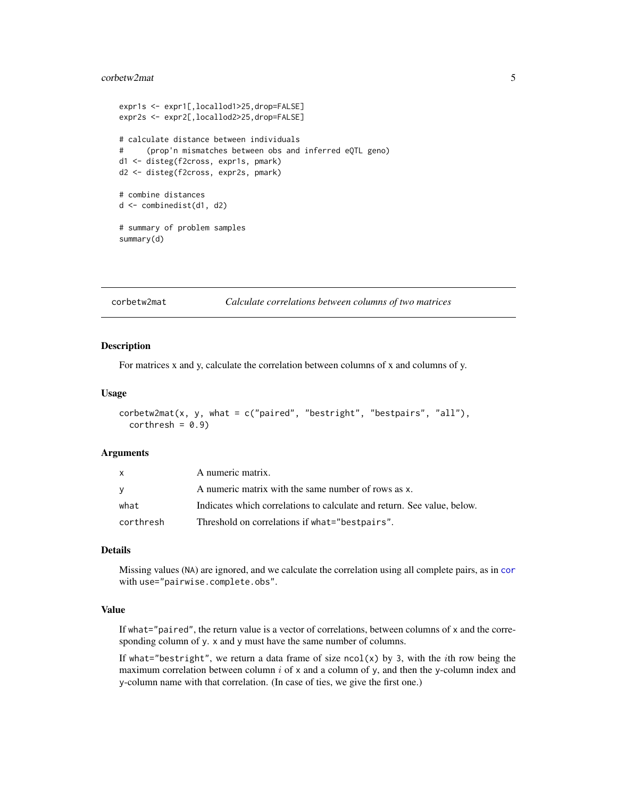#### <span id="page-4-0"></span>corbetw2mat 5

```
expr1s <- expr1[,locallod1>25,drop=FALSE]
expr2s <- expr2[,locallod2>25,drop=FALSE]
# calculate distance between individuals
# (prop'n mismatches between obs and inferred eQTL geno)
d1 <- disteg(f2cross, expr1s, pmark)
d2 <- disteg(f2cross, expr2s, pmark)
# combine distances
d <- combinedist(d1, d2)
# summary of problem samples
summary(d)
```
<span id="page-4-1"></span>

#### corbetw2mat *Calculate correlations between columns of two matrices*

#### Description

For matrices x and y, calculate the correlation between columns of x and columns of y.

#### Usage

```
corbetw2mat(x, y, what = c("paired", "bestright", "bestpairs", "all"),
  corthresh = 0.9
```
#### Arguments

| $\mathsf{x}$ | A numeric matrix.                                                       |
|--------------|-------------------------------------------------------------------------|
| <b>V</b>     | A numeric matrix with the same number of rows as x.                     |
| what         | Indicates which correlations to calculate and return. See value, below. |
| corthresh    | Threshold on correlations if what="bestpairs".                          |

#### Details

Missing values (NA) are ignored, and we calculate the correlation using all complete pairs, as in [cor](#page-0-0) with use="pairwise.complete.obs".

### Value

If what="paired", the return value is a vector of correlations, between columns of x and the corresponding column of y. x and y must have the same number of columns.

If what="bestright", we return a data frame of size ncol(x) by 3, with the *i*th row being the maximum correlation between column  $i$  of x and a column of y, and then the y-column index and y-column name with that correlation. (In case of ties, we give the first one.)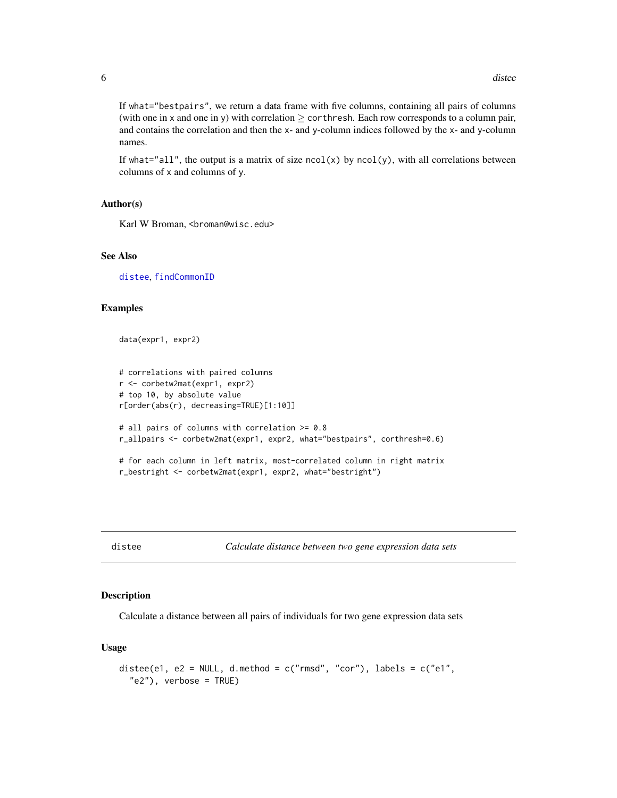<span id="page-5-0"></span>If what="bestpairs", we return a data frame with five columns, containing all pairs of columns (with one in x and one in y) with correlation  $\geq$  corthresh. Each row corresponds to a column pair, and contains the correlation and then the x- and y-column indices followed by the x- and y-column names.

If what="all", the output is a matrix of size  $ncol(x)$  by  $ncol(y)$ , with all correlations between columns of x and columns of y.

#### Author(s)

Karl W Broman, <br />broman@wisc.edu>

# See Also

[distee](#page-5-1), [findCommonID](#page-12-1)

#### Examples

data(expr1, expr2)

```
# correlations with paired columns
r <- corbetw2mat(expr1, expr2)
# top 10, by absolute value
r[order(abs(r), decreasing=TRUE)[1:10]]
# all pairs of columns with correlation >= 0.8
r_allpairs <- corbetw2mat(expr1, expr2, what="bestpairs", corthresh=0.6)
# for each column in left matrix, most-correlated column in right matrix
r_bestright <- corbetw2mat(expr1, expr2, what="bestright")
```
<span id="page-5-1"></span>

distee *Calculate distance between two gene expression data sets*

#### Description

Calculate a distance between all pairs of individuals for two gene expression data sets

#### Usage

```
distee(e1, e2 = NULL, d.method = c("rmsd", "cor"), labels = c("e1","e2"), verbose = TRUE)
```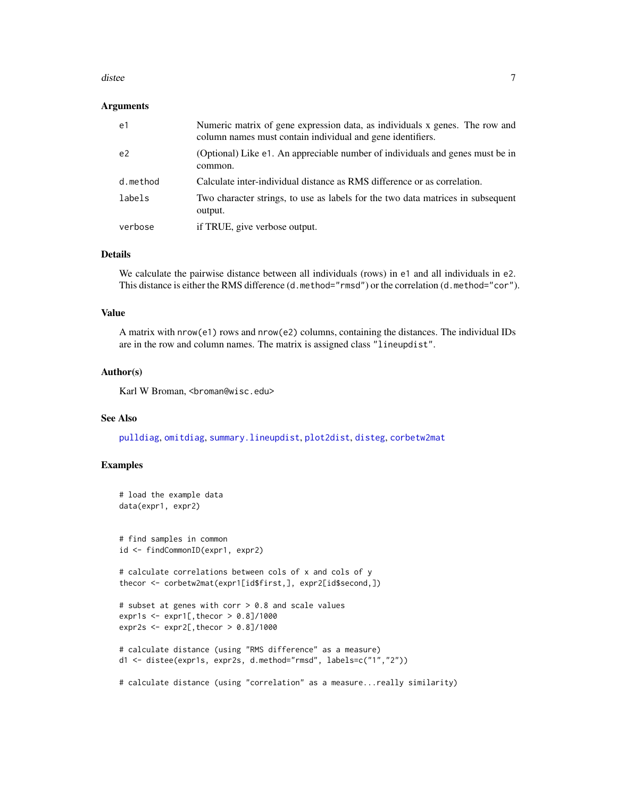#### <span id="page-6-0"></span>distee 7 and 2012 12:00 and 2012 12:00 and 2012 12:00 and 2012 12:00 and 2012 12:00 and 2012 12:00 and 2012 12:00 and 2012 12:00 and 2012 12:00 and 2012 12:00 and 2012 12:00 and 2012 12:00 and 2012 12:00 and 2012 12:00 and

#### Arguments

| e1             | Numeric matrix of gene expression data, as individuals x genes. The row and<br>column names must contain individual and gene identifiers. |
|----------------|-------------------------------------------------------------------------------------------------------------------------------------------|
| e <sub>2</sub> | (Optional) Like e1. An appreciable number of individuals and genes must be in<br>common.                                                  |
| d.method       | Calculate inter-individual distance as RMS difference or as correlation.                                                                  |
| labels         | Two character strings, to use as labels for the two data matrices in subsequent<br>output.                                                |
| verbose        | if TRUE, give verbose output.                                                                                                             |

# Details

We calculate the pairwise distance between all individuals (rows) in e1 and all individuals in e2. This distance is either the RMS difference (d.method="rmsd") or the correlation (d.method="cor").

#### Value

A matrix with nrow(e1) rows and nrow(e2) columns, containing the distances. The individual IDs are in the row and column names. The matrix is assigned class "lineupdist".

#### Author(s)

Karl W Broman, <br />broman@wisc.edu>

#### See Also

[pulldiag](#page-21-1), [omitdiag](#page-15-1), [summary.lineupdist](#page-23-1), [plot2dist](#page-18-1), [disteg](#page-7-1), [corbetw2mat](#page-4-1)

#### Examples

```
# load the example data
data(expr1, expr2)
# find samples in common
id <- findCommonID(expr1, expr2)
# calculate correlations between cols of x and cols of y
thecor <- corbetw2mat(expr1[id$first,], expr2[id$second,])
# subset at genes with corr > 0.8 and scale values
expr1s \le expr1[, thecor > 0.8]/1000
expr2s <- expr2[,thecor > 0.8]/1000
# calculate distance (using "RMS difference" as a measure)
```

```
d1 <- distee(expr1s, expr2s, d.method="rmsd", labels=c("1","2"))
```

```
# calculate distance (using "correlation" as a measure...really similarity)
```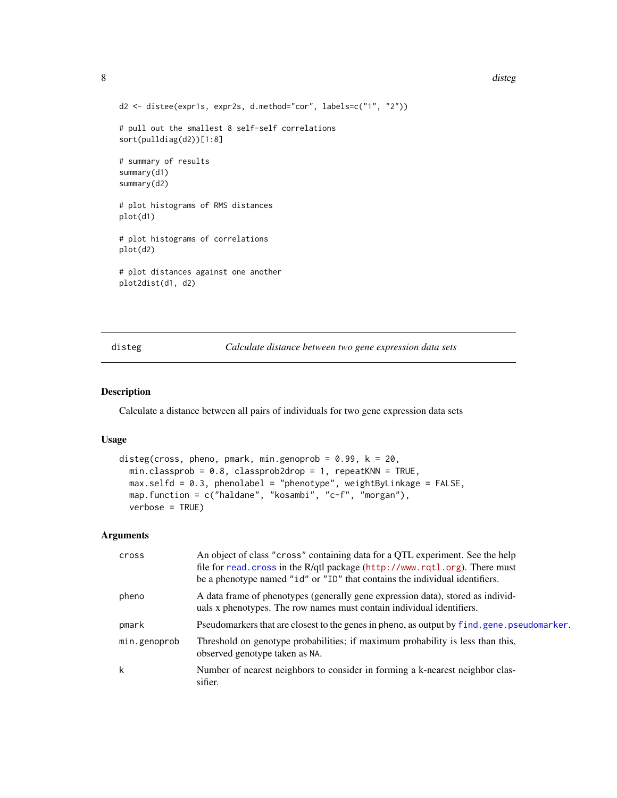#### 8 distegned to the control of the control of the control of the control of the control of the control of the control of the control of the control of the control of the control of the control of the control of the control

```
d2 <- distee(expr1s, expr2s, d.method="cor", labels=c("1", "2"))
# pull out the smallest 8 self-self correlations
sort(pulldiag(d2))[1:8]
# summary of results
summary(d1)
summary(d2)
# plot histograms of RMS distances
plot(d1)
# plot histograms of correlations
plot(d2)
# plot distances against one another
plot2dist(d1, d2)
```
<span id="page-7-1"></span>

disteg *Calculate distance between two gene expression data sets*

#### Description

Calculate a distance between all pairs of individuals for two gene expression data sets

#### Usage

```
disteg(cross, pheno, pmark, min.genoprob = 0.99, k = 20,
 min.classprob = 0.8, classprob2drop = 1, repeatKNN = TRUE,
 max.selfd = 0.3, phenolabel = "phenotype", weightByLinkage = FALSE,
 map.function = c("haldane", "kosambi", "c-f", "morgan"),
 verbose = TRUE)
```
#### Arguments

| cross        | An object of class "cross" containing data for a QTL experiment. See the help<br>file for read. cross in the R/qtl package (http://www.rqtl.org). There must<br>be a phenotype named "id" or "ID" that contains the individual identifiers. |
|--------------|---------------------------------------------------------------------------------------------------------------------------------------------------------------------------------------------------------------------------------------------|
| pheno        | A data frame of phenotypes (generally gene expression data), stored as individ-<br>uals x phenotypes. The row names must contain individual identifiers.                                                                                    |
| pmark        | Pseudomarkers that are closest to the genes in pheno, as output by find, gene, pseudomarker.                                                                                                                                                |
| min.genoprob | Threshold on genotype probabilities; if maximum probability is less than this,<br>observed genotype taken as NA.                                                                                                                            |
| k            | Number of nearest neighbors to consider in forming a k-nearest neighbor clas-<br>sifier.                                                                                                                                                    |

<span id="page-7-0"></span>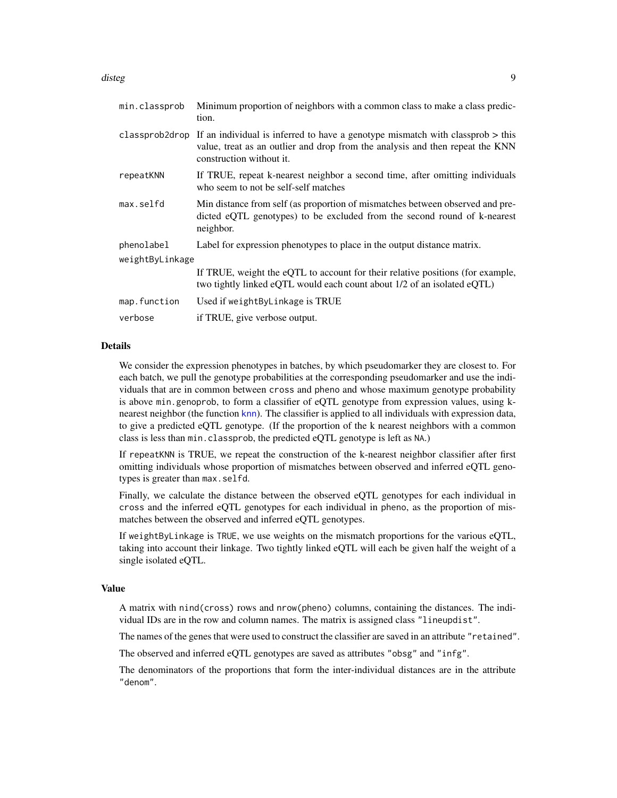#### <span id="page-8-0"></span>disteg **9** and 2011 the set of the set of the set of the set of the set of the set of the set of the set of the set of the set of the set of the set of the set of the set of the set of the set of the set of the set of the

| min.classprob   | Minimum proportion of neighbors with a common class to make a class predic-<br>tion.                                                                                                                         |
|-----------------|--------------------------------------------------------------------------------------------------------------------------------------------------------------------------------------------------------------|
|                 | classprob2drop If an individual is inferred to have a genotype mismatch with classprob $>$ this<br>value, treat as an outlier and drop from the analysis and then repeat the KNN<br>construction without it. |
| repeatKNN       | If TRUE, repeat k-nearest neighbor a second time, after omitting individuals<br>who seem to not be self-self matches                                                                                         |
| max.selfd       | Min distance from self (as proportion of mismatches between observed and pre-<br>dicted eQTL genotypes) to be excluded from the second round of k-nearest<br>neighbor.                                       |
| phenolabel      | Label for expression phenotypes to place in the output distance matrix.                                                                                                                                      |
| weightByLinkage |                                                                                                                                                                                                              |
|                 | If TRUE, weight the eQTL to account for their relative positions (for example,<br>two tightly linked eQTL would each count about 1/2 of an isolated eQTL)                                                    |
| map.function    | Used if weightByLinkage is TRUE                                                                                                                                                                              |
| verbose         | if TRUE, give verbose output.                                                                                                                                                                                |

#### Details

We consider the expression phenotypes in batches, by which pseudomarker they are closest to. For each batch, we pull the genotype probabilities at the corresponding pseudomarker and use the individuals that are in common between cross and pheno and whose maximum genotype probability is above min.genoprob, to form a classifier of eQTL genotype from expression values, using knearest neighbor (the function [knn](#page-0-0)). The classifier is applied to all individuals with expression data, to give a predicted eQTL genotype. (If the proportion of the k nearest neighbors with a common class is less than min.classprob, the predicted eQTL genotype is left as NA.)

If repeatKNN is TRUE, we repeat the construction of the k-nearest neighbor classifier after first omitting individuals whose proportion of mismatches between observed and inferred eQTL genotypes is greater than max.selfd.

Finally, we calculate the distance between the observed eQTL genotypes for each individual in cross and the inferred eQTL genotypes for each individual in pheno, as the proportion of mismatches between the observed and inferred eQTL genotypes.

If weightByLinkage is TRUE, we use weights on the mismatch proportions for the various eQTL, taking into account their linkage. Two tightly linked eQTL will each be given half the weight of a single isolated eQTL.

#### Value

A matrix with nind(cross) rows and nrow(pheno) columns, containing the distances. The individual IDs are in the row and column names. The matrix is assigned class "lineupdist".

The names of the genes that were used to construct the classifier are saved in an attribute "retained".

The observed and inferred eQTL genotypes are saved as attributes "obsg" and "infg".

The denominators of the proportions that form the inter-individual distances are in the attribute "denom".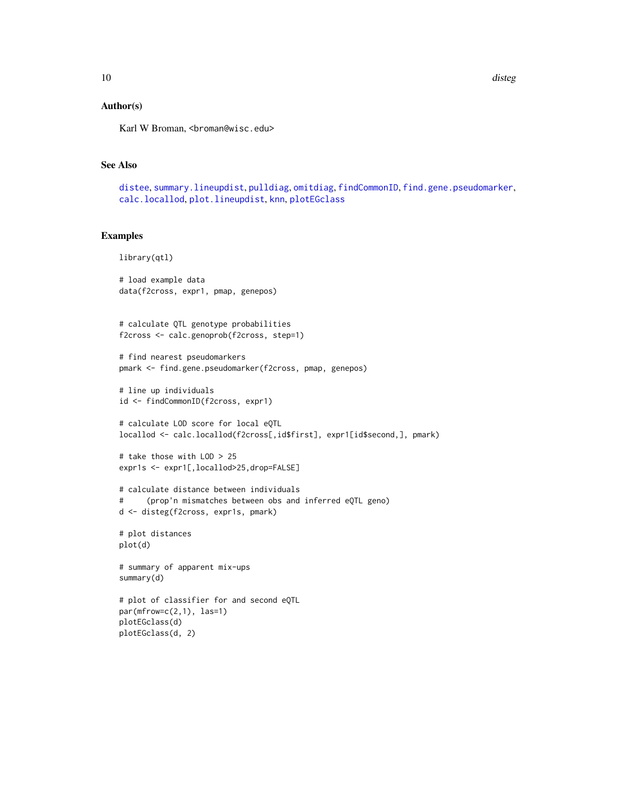<span id="page-9-0"></span>10 distegned to the control of the control of the control of the control of the control of the control of the control of the control of the control of the control of the control of the control of the control of the control

#### Author(s)

Karl W Broman, <br />
throman@wisc.edu>

# See Also

[distee](#page-5-1), [summary.lineupdist](#page-23-1), [pulldiag](#page-21-1), [omitdiag](#page-15-1), [findCommonID](#page-12-1), [find.gene.pseudomarker](#page-11-1), [calc.locallod](#page-1-1), [plot.lineupdist](#page-16-1), [knn](#page-0-0), [plotEGclass](#page-19-1)

#### Examples

```
library(qtl)
```

```
# load example data
data(f2cross, expr1, pmap, genepos)
```

```
# calculate QTL genotype probabilities
f2cross <- calc.genoprob(f2cross, step=1)
```

```
# find nearest pseudomarkers
pmark <- find.gene.pseudomarker(f2cross, pmap, genepos)
```

```
# line up individuals
id <- findCommonID(f2cross, expr1)
```

```
# calculate LOD score for local eQTL
locallod <- calc.locallod(f2cross[,id$first], expr1[id$second,], pmark)
```

```
# take those with LOD > 25
expr1s <- expr1[,locallod>25,drop=FALSE]
```

```
# calculate distance between individuals
# (prop'n mismatches between obs and inferred eQTL geno)
d <- disteg(f2cross, expr1s, pmark)
```

```
# plot distances
plot(d)
```
# summary of apparent mix-ups summary(d)

```
# plot of classifier for and second eQTL
par(mfrow=c(2,1), las=1)plotEGclass(d)
plotEGclass(d, 2)
```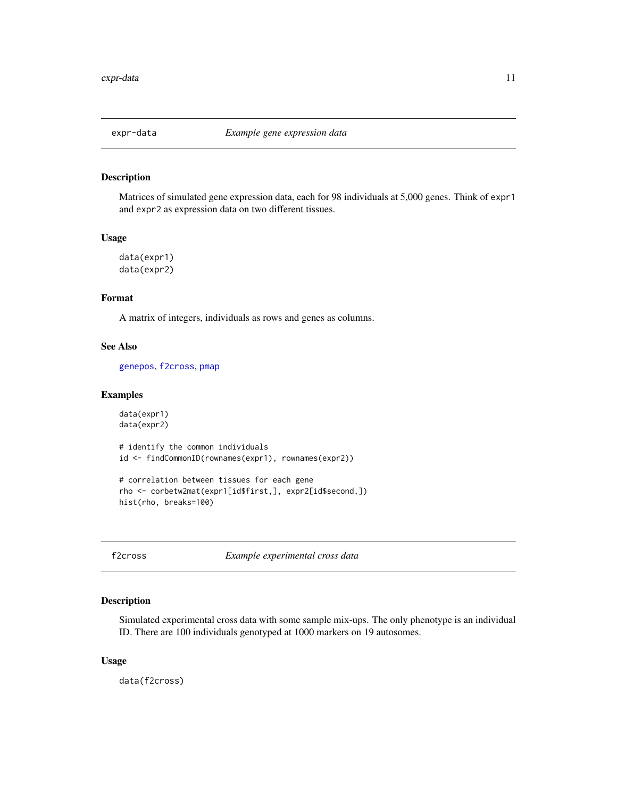<span id="page-10-0"></span>

# <span id="page-10-2"></span>Description

Matrices of simulated gene expression data, each for 98 individuals at 5,000 genes. Think of expr1 and expr2 as expression data on two different tissues.

# Usage

```
data(expr1)
data(expr2)
```
# Format

A matrix of integers, individuals as rows and genes as columns.

# See Also

[genepos](#page-14-1), [f2cross](#page-10-1), [pmap](#page-21-2)

#### Examples

```
data(expr1)
data(expr2)
```
# identify the common individuals id <- findCommonID(rownames(expr1), rownames(expr2))

```
# correlation between tissues for each gene
rho <- corbetw2mat(expr1[id$first,], expr2[id$second,])
hist(rho, breaks=100)
```
<span id="page-10-1"></span>f2cross *Example experimental cross data*

# Description

Simulated experimental cross data with some sample mix-ups. The only phenotype is an individual ID. There are 100 individuals genotyped at 1000 markers on 19 autosomes.

# Usage

data(f2cross)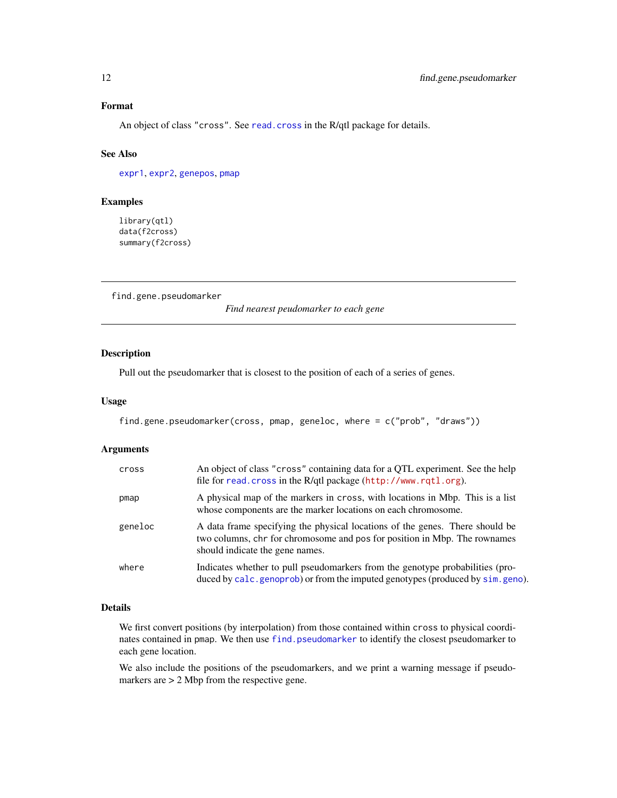# <span id="page-11-0"></span>Format

An object of class "cross". See [read.cross](#page-0-0) in the R/qtl package for details.

#### See Also

[expr1](#page-10-2), [expr2](#page-10-2), [genepos](#page-14-1), [pmap](#page-21-2)

# Examples

library(qtl) data(f2cross) summary(f2cross)

<span id="page-11-1"></span>find.gene.pseudomarker

*Find nearest peudomarker to each gene*

#### Description

Pull out the pseudomarker that is closest to the position of each of a series of genes.

#### Usage

```
find.gene.pseudomarker(cross, pmap, geneloc, where = c("prob", "draws"))
```
# Arguments

| cross   | An object of class "cross" containing data for a QTL experiment. See the help<br>file for read. cross in the R/qtl package (http://www.rqtl.org).                                            |
|---------|----------------------------------------------------------------------------------------------------------------------------------------------------------------------------------------------|
| pmap    | A physical map of the markers in cross, with locations in Mbp. This is a list<br>whose components are the marker locations on each chromosome.                                               |
| geneloc | A data frame specifying the physical locations of the genes. There should be<br>two columns, chr for chromosome and pos for position in Mbp. The rownames<br>should indicate the gene names. |
| where   | Indicates whether to pull pseudomarkers from the genotype probabilities (pro-<br>duced by calc. genoprob) or from the imputed genotypes (produced by sim. geno).                             |

#### Details

We first convert positions (by interpolation) from those contained within cross to physical coordinates contained in pmap. We then use [find.pseudomarker](#page-0-0) to identify the closest pseudomarker to each gene location.

We also include the positions of the pseudomarkers, and we print a warning message if pseudomarkers are > 2 Mbp from the respective gene.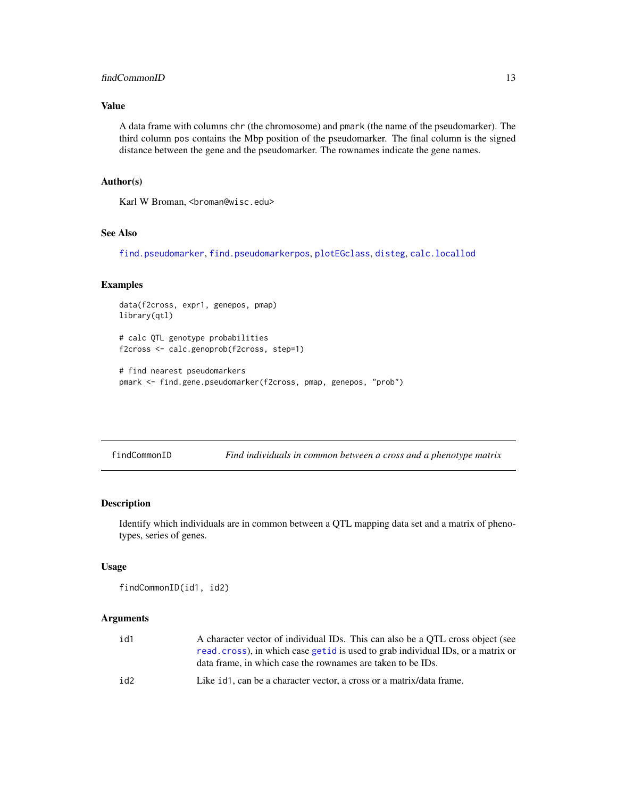# <span id="page-12-0"></span>findCommonID 13

# Value

A data frame with columns chr (the chromosome) and pmark (the name of the pseudomarker). The third column pos contains the Mbp position of the pseudomarker. The final column is the signed distance between the gene and the pseudomarker. The rownames indicate the gene names.

# Author(s)

Karl W Broman, <br />broman@wisc.edu>

# See Also

[find.pseudomarker](#page-0-0), [find.pseudomarkerpos](#page-0-0), [plotEGclass](#page-19-1), [disteg](#page-7-1), [calc.locallod](#page-1-1)

#### Examples

```
data(f2cross, expr1, genepos, pmap)
library(qtl)
```
# calc QTL genotype probabilities f2cross <- calc.genoprob(f2cross, step=1)

```
# find nearest pseudomarkers
pmark <- find.gene.pseudomarker(f2cross, pmap, genepos, "prob")
```
<span id="page-12-1"></span>

| findCommonID | Find individuals in common between a cross and a phenotype matrix |  |
|--------------|-------------------------------------------------------------------|--|
|--------------|-------------------------------------------------------------------|--|

# Description

Identify which individuals are in common between a QTL mapping data set and a matrix of phenotypes, series of genes.

#### Usage

```
findCommonID(id1, id2)
```
#### Arguments

| id1 | A character vector of individual IDs. This can also be a QTL cross object (see   |
|-----|----------------------------------------------------------------------------------|
|     | read.cross), in which case get id is used to grab individual IDs, or a matrix or |
|     | data frame, in which case the rownames are taken to be IDs.                      |
| id2 | Like id 1, can be a character vector, a cross or a matrix/data frame.            |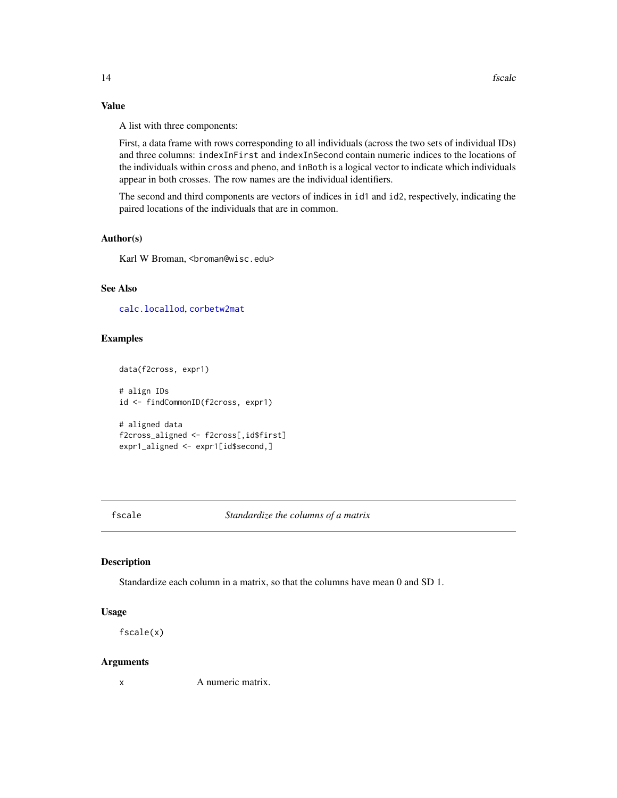# Value

A list with three components:

First, a data frame with rows corresponding to all individuals (across the two sets of individual IDs) and three columns: indexInFirst and indexInSecond contain numeric indices to the locations of the individuals within cross and pheno, and inBoth is a logical vector to indicate which individuals appear in both crosses. The row names are the individual identifiers.

The second and third components are vectors of indices in id1 and id2, respectively, indicating the paired locations of the individuals that are in common.

#### Author(s)

Karl W Broman, <br />
throman@wisc.edu>

# See Also

[calc.locallod](#page-1-1), [corbetw2mat](#page-4-1)

# Examples

```
data(f2cross, expr1)
```
# align IDs id <- findCommonID(f2cross, expr1)

```
# aligned data
f2cross_aligned <- f2cross[,id$first]
expr1_aligned <- expr1[id$second,]
```
fscale *Standardize the columns of a matrix*

# Description

Standardize each column in a matrix, so that the columns have mean 0 and SD 1.

#### Usage

fscale(x)

#### Arguments

x A numeric matrix.

<span id="page-13-0"></span>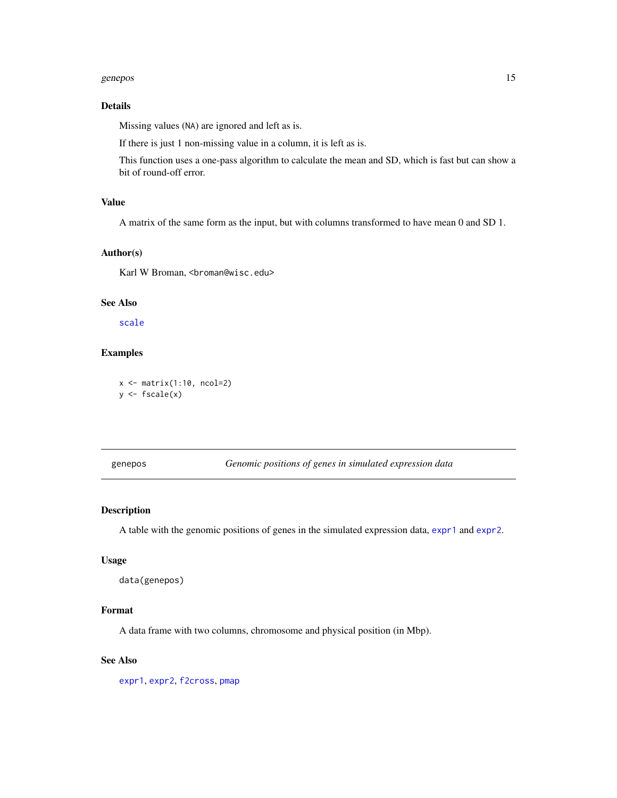#### <span id="page-14-0"></span>genepos and the set of the set of the set of the set of the set of the set of the set of the set of the set of the set of the set of the set of the set of the set of the set of the set of the set of the set of the set of t

# Details

Missing values (NA) are ignored and left as is.

If there is just 1 non-missing value in a column, it is left as is.

This function uses a one-pass algorithm to calculate the mean and SD, which is fast but can show a bit of round-off error.

# Value

A matrix of the same form as the input, but with columns transformed to have mean 0 and SD 1.

# Author(s)

Karl W Broman, <br />
throman@wisc.edu>

#### See Also

[scale](#page-0-0)

# Examples

 $x \leftarrow \text{matrix}(1:10, \text{ncol}=2)$  $y \leftarrow$  fscale $(x)$ 

<span id="page-14-1"></span>genepos *Genomic positions of genes in simulated expression data*

# Description

A table with the genomic positions of genes in the simulated expression data, [expr1](#page-10-2) and [expr2](#page-10-2).

# Usage

```
data(genepos)
```
### Format

A data frame with two columns, chromosome and physical position (in Mbp).

# See Also

[expr1](#page-10-2), [expr2](#page-10-2), [f2cross](#page-10-1), [pmap](#page-21-2)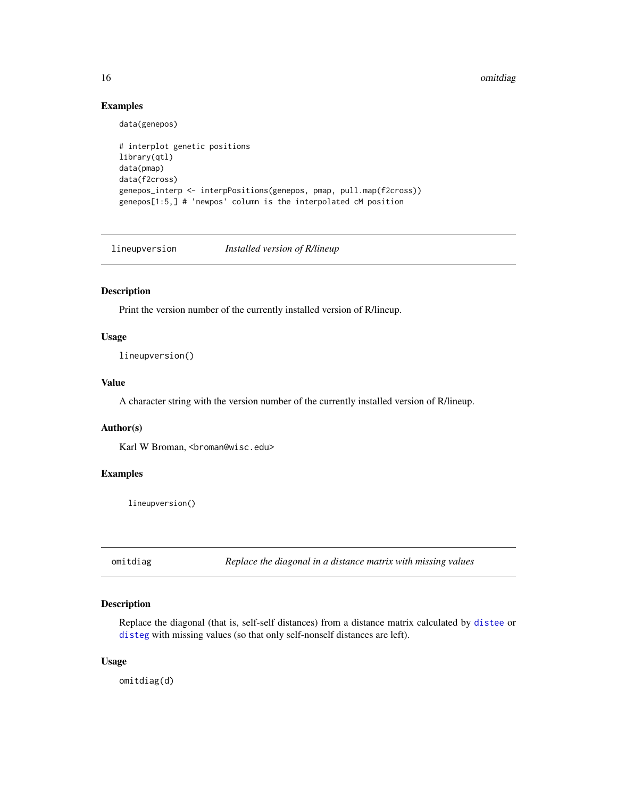16 omitdiag and the control of the control of the control of the control of the control of the control of the control of the control of the control of the control of the control of the control of the control of the control

# Examples

data(genepos)

```
# interplot genetic positions
library(qtl)
data(pmap)
data(f2cross)
genepos_interp <- interpPositions(genepos, pmap, pull.map(f2cross))
genepos[1:5,] # 'newpos' column is the interpolated cM position
```
lineupversion *Installed version of R/lineup*

# Description

Print the version number of the currently installed version of R/lineup.

# Usage

lineupversion()

# Value

A character string with the version number of the currently installed version of R/lineup.

#### Author(s)

Karl W Broman, <br />broman@wisc.edu>

#### Examples

lineupversion()

<span id="page-15-1"></span>omitdiag *Replace the diagonal in a distance matrix with missing values*

# Description

Replace the diagonal (that is, self-self distances) from a distance matrix calculated by [distee](#page-5-1) or [disteg](#page-7-1) with missing values (so that only self-nonself distances are left).

#### Usage

omitdiag(d)

<span id="page-15-0"></span>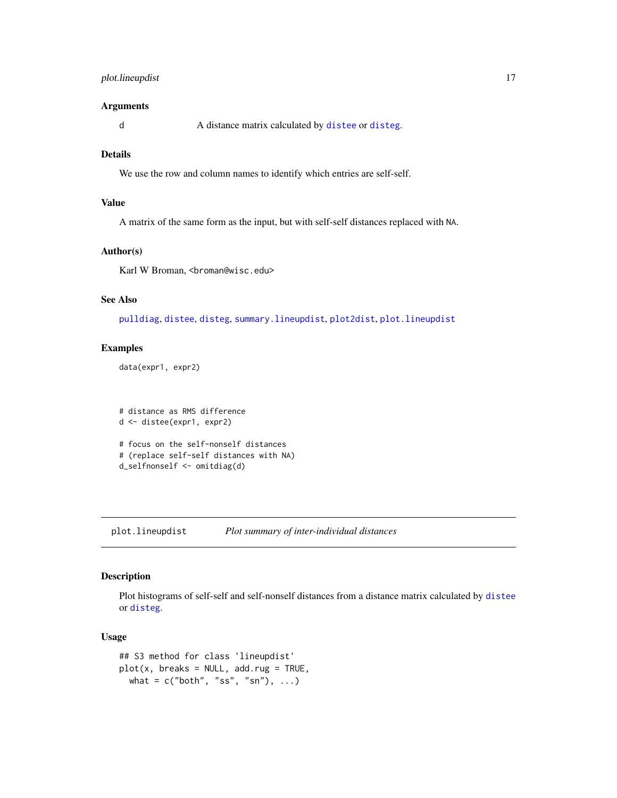# <span id="page-16-0"></span>plot.lineupdist 17

# Arguments

d A distance matrix calculated by [distee](#page-5-1) or [disteg](#page-7-1).

# Details

We use the row and column names to identify which entries are self-self.

# Value

A matrix of the same form as the input, but with self-self distances replaced with NA.

#### Author(s)

Karl W Broman, <br />
throman@wisc.edu>

# See Also

[pulldiag](#page-21-1), [distee](#page-5-1), [disteg](#page-7-1), [summary.lineupdist](#page-23-1), [plot2dist](#page-18-1), [plot.lineupdist](#page-16-1)

# Examples

data(expr1, expr2)

```
# distance as RMS difference
d <- distee(expr1, expr2)
# focus on the self-nonself distances
# (replace self-self distances with NA)
d_selfnonself <- omitdiag(d)
```
<span id="page-16-1"></span>plot.lineupdist *Plot summary of inter-individual distances*

# Description

Plot histograms of self-self and self-nonself distances from a distance matrix calculated by [distee](#page-5-1) or [disteg](#page-7-1).

# Usage

```
## S3 method for class 'lineupdist'
plot(x, breaks = NULL, add.rug = TRUE,what = c("both", "ss", "sn"), ...
```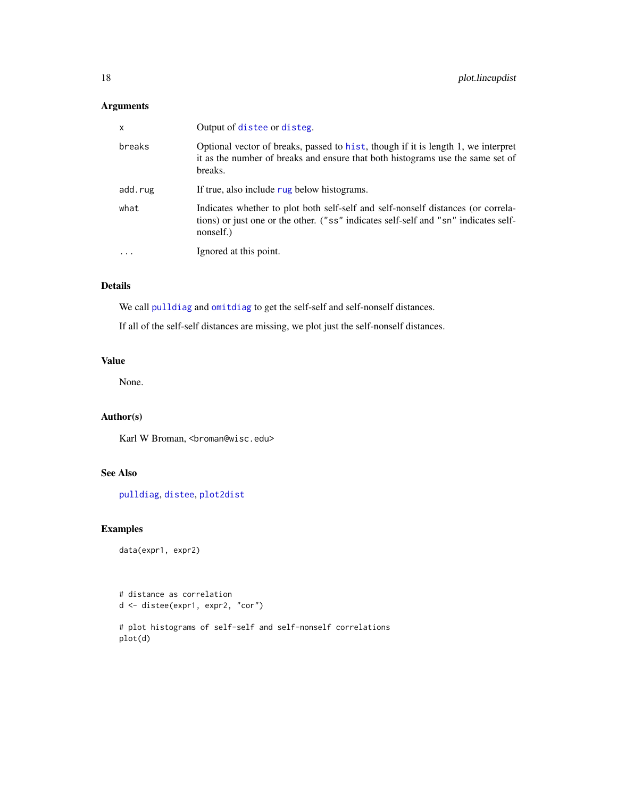# <span id="page-17-0"></span>Arguments

| $\mathsf{x}$ | Output of distee or disteg.                                                                                                                                                          |
|--------------|--------------------------------------------------------------------------------------------------------------------------------------------------------------------------------------|
| breaks       | Optional vector of breaks, passed to hist, though if it is length 1, we interpret<br>it as the number of breaks and ensure that both histograms use the same set of<br>breaks.       |
| add.rug      | If true, also include rug below histograms.                                                                                                                                          |
| what         | Indicates whether to plot both self-self and self-nonself distances (or correla-<br>tions) or just one or the other. ("ss" indicates self-self and "sn" indicates self-<br>nonself.) |
| $\cdot$      | Ignored at this point.                                                                                                                                                               |
|              |                                                                                                                                                                                      |

# Details

We call [pulldiag](#page-21-1) and [omitdiag](#page-15-1) to get the self-self and self-nonself distances.

If all of the self-self distances are missing, we plot just the self-nonself distances.

# Value

None.

# Author(s)

Karl W Broman, <br />
throman@wisc.edu>

# See Also

[pulldiag](#page-21-1), [distee](#page-5-1), [plot2dist](#page-18-1)

# Examples

data(expr1, expr2)

# distance as correlation d <- distee(expr1, expr2, "cor")

```
# plot histograms of self-self and self-nonself correlations
plot(d)
```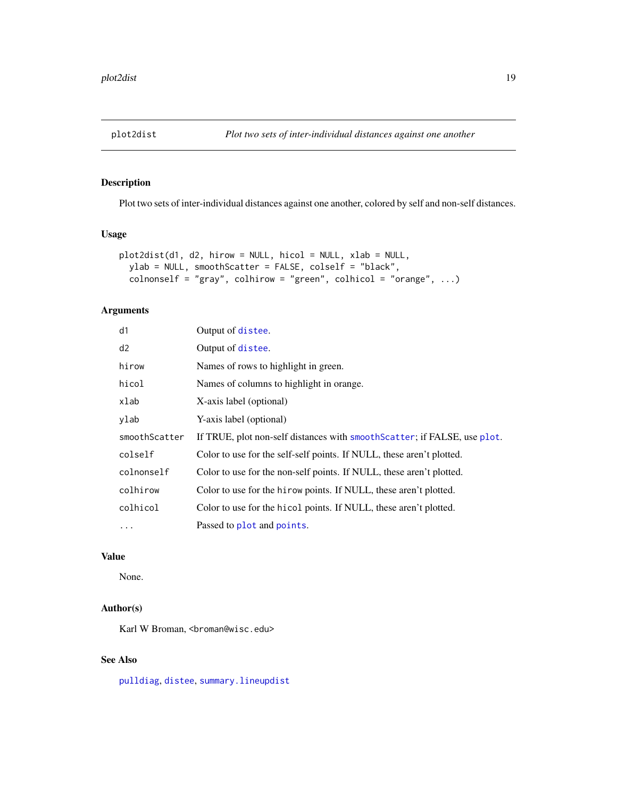<span id="page-18-1"></span><span id="page-18-0"></span>

# Description

Plot two sets of inter-individual distances against one another, colored by self and non-self distances.

# Usage

```
plot2dist(d1, d2, hirow = NULL, hicol = NULL, xlab = NULL,
 ylab = NULL, smoothScatter = FALSE, colself = "black",
 colnonself = "gray", colhirow = "green", colhicol = "orange", ...)
```
# Arguments

| d1            | Output of distee.                                                         |
|---------------|---------------------------------------------------------------------------|
| d2            | Output of distee.                                                         |
| hirow         | Names of rows to highlight in green.                                      |
| hicol         | Names of columns to highlight in orange.                                  |
| xlab          | X-axis label (optional)                                                   |
| ylab          | Y-axis label (optional)                                                   |
| smoothScatter | If TRUE, plot non-self distances with smooth Scatter; if FALSE, use plot. |
| colself       | Color to use for the self-self points. If NULL, these aren't plotted.     |
| colnonself    | Color to use for the non-self points. If NULL, these aren't plotted.      |
| colhirow      | Color to use for the hirow points. If NULL, these aren't plotted.         |
| colhicol      | Color to use for the hicol points. If NULL, these aren't plotted.         |
| $\cdots$      | Passed to plot and points.                                                |

# Value

None.

#### Author(s)

Karl W Broman, <br />
throman@wisc.edu>

# See Also

[pulldiag](#page-21-1), [distee](#page-5-1), [summary.lineupdist](#page-23-1)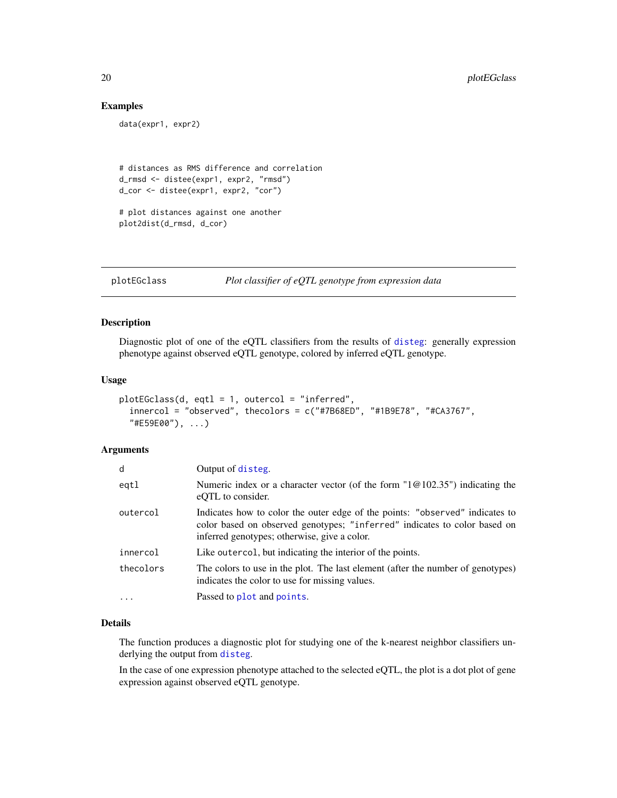#### Examples

```
data(expr1, expr2)
# distances as RMS difference and correlation
d_rmsd <- distee(expr1, expr2, "rmsd")
d_cor <- distee(expr1, expr2, "cor")
# plot distances against one another
plot2dist(d_rmsd, d_cor)
```
<span id="page-19-1"></span>plotEGclass *Plot classifier of eQTL genotype from expression data*

# Description

Diagnostic plot of one of the eQTL classifiers from the results of [disteg](#page-7-1): generally expression phenotype against observed eQTL genotype, colored by inferred eQTL genotype.

#### Usage

```
plotEGclass(d, eqtl = 1, outercol = "inferred",
  innercol = "observed", the colors = c("#7B68ED", "#1B9E78", "#CA3767","#E59E00"), ...)
```
#### Arguments

| d         | Output of disteg.                                                                                                                                                                                         |
|-----------|-----------------------------------------------------------------------------------------------------------------------------------------------------------------------------------------------------------|
| eqtl      | Numeric index or a character vector (of the form $10(0.335)$ ) indicating the<br>eQTL to consider.                                                                                                        |
| outercol  | Indicates how to color the outer edge of the points: "observed" indicates to<br>color based on observed genotypes; "inferred" indicates to color based on<br>inferred genotypes; otherwise, give a color. |
| innercol  | Like outercol, but indicating the interior of the points.                                                                                                                                                 |
| thecolors | The colors to use in the plot. The last element (after the number of genotypes)<br>indicates the color to use for missing values.                                                                         |
| $\cdots$  | Passed to plot and points.                                                                                                                                                                                |

### Details

The function produces a diagnostic plot for studying one of the k-nearest neighbor classifiers underlying the output from [disteg](#page-7-1).

In the case of one expression phenotype attached to the selected eQTL, the plot is a dot plot of gene expression against observed eQTL genotype.

<span id="page-19-0"></span>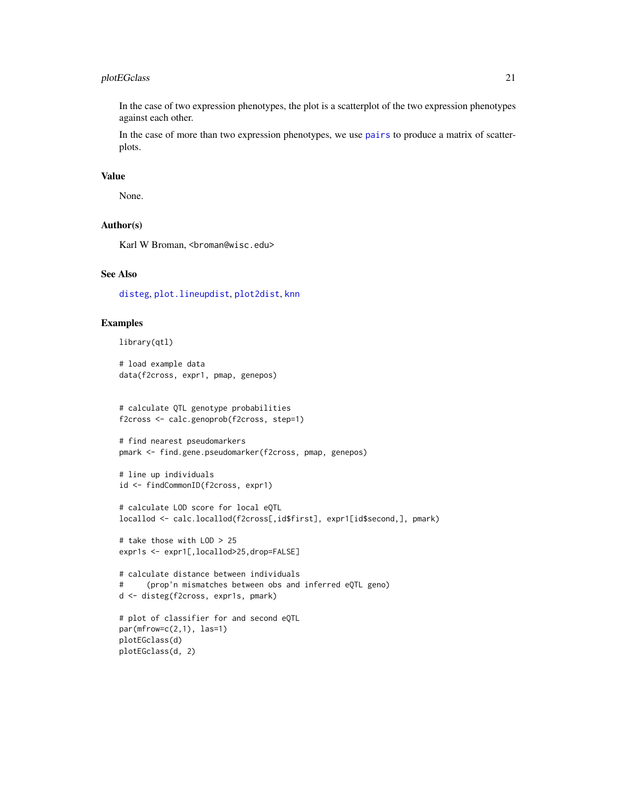# <span id="page-20-0"></span>plotEGclass 21

In the case of two expression phenotypes, the plot is a scatterplot of the two expression phenotypes against each other.

In the case of more than two expression phenotypes, we use [pairs](#page-0-0) to produce a matrix of scatterplots.

#### Value

None.

#### Author(s)

Karl W Broman, <br />
throman@wisc.edu>

#### See Also

[disteg](#page-7-1), [plot.lineupdist](#page-16-1), [plot2dist](#page-18-1), [knn](#page-0-0)

#### Examples

```
library(qtl)
```
# load example data data(f2cross, expr1, pmap, genepos)

```
# calculate QTL genotype probabilities
f2cross <- calc.genoprob(f2cross, step=1)
```

```
# find nearest pseudomarkers
pmark <- find.gene.pseudomarker(f2cross, pmap, genepos)
```

```
# line up individuals
id <- findCommonID(f2cross, expr1)
```

```
# calculate LOD score for local eQTL
locallod <- calc.locallod(f2cross[,id$first], expr1[id$second,], pmark)
```

```
# take those with LOD > 25
expr1s <- expr1[,locallod>25,drop=FALSE]
```

```
# calculate distance between individuals
# (prop'n mismatches between obs and inferred eQTL geno)
d <- disteg(f2cross, expr1s, pmark)
```

```
# plot of classifier for and second eQTL
par(mfrow=c(2,1), las=1)plotEGclass(d)
plotEGclass(d, 2)
```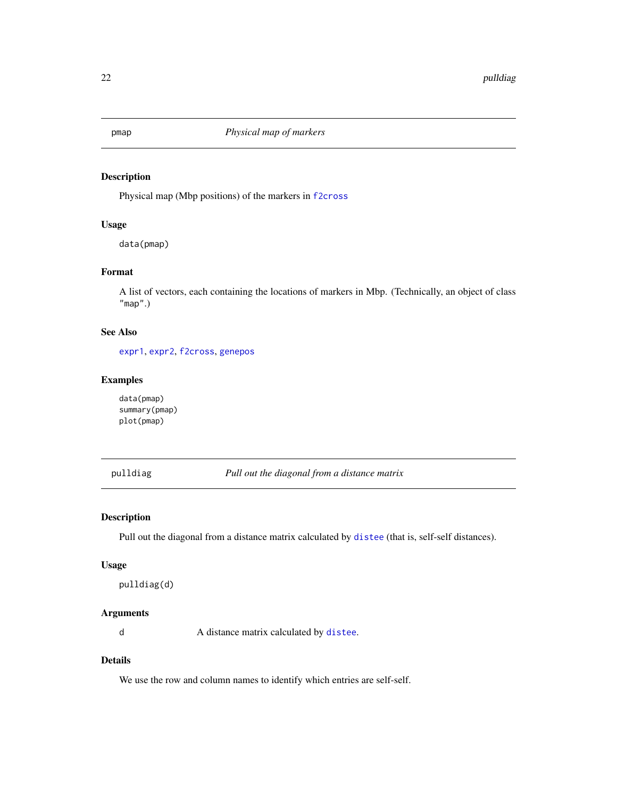<span id="page-21-2"></span><span id="page-21-0"></span>

# Description

Physical map (Mbp positions) of the markers in [f2cross](#page-10-1)

# Usage

data(pmap)

# Format

A list of vectors, each containing the locations of markers in Mbp. (Technically, an object of class "map".)

# See Also

[expr1](#page-10-2), [expr2](#page-10-2), [f2cross](#page-10-1), [genepos](#page-14-1)

# Examples

data(pmap) summary(pmap) plot(pmap)

<span id="page-21-1"></span>pulldiag *Pull out the diagonal from a distance matrix*

# Description

Pull out the diagonal from a distance matrix calculated by [distee](#page-5-1) (that is, self-self distances).

#### Usage

pulldiag(d)

# Arguments

d A distance matrix calculated by [distee](#page-5-1).

# Details

We use the row and column names to identify which entries are self-self.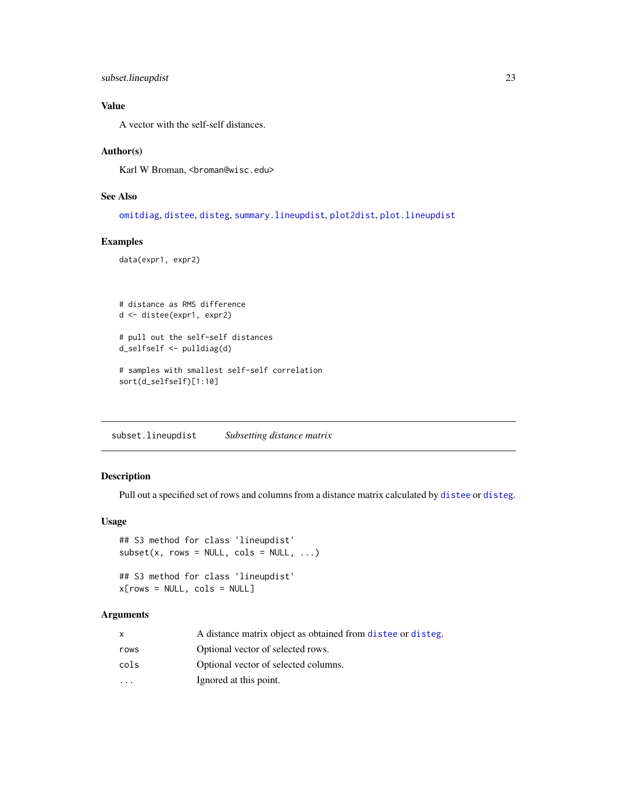```
subset.lineupdist 23
```
# Value

A vector with the self-self distances.

# Author(s)

Karl W Broman, <br />
stroman@wisc.edu>

# See Also

[omitdiag](#page-15-1), [distee](#page-5-1), [disteg](#page-7-1), [summary.lineupdist](#page-23-1), [plot2dist](#page-18-1), [plot.lineupdist](#page-16-1)

#### Examples

data(expr1, expr2)

```
# distance as RMS difference
d <- distee(expr1, expr2)
# pull out the self-self distances
d_selfself <- pulldiag(d)
# samples with smallest self-self correlation
sort(d_selfself)[1:10]
```
subset.lineupdist *Subsetting distance matrix*

# Description

Pull out a specified set of rows and columns from a distance matrix calculated by [distee](#page-5-1) or [disteg](#page-7-1).

# Usage

```
## S3 method for class 'lineupdist'
subset(x, rows = NULL, cols = NULL, ...)
```

```
## S3 method for class 'lineupdist'
x[rows = NULL, cols = NULL]
```
# Arguments

| x       | A distance matrix object as obtained from distee or disteg. |
|---------|-------------------------------------------------------------|
| rows    | Optional vector of selected rows.                           |
| cols    | Optional vector of selected columns.                        |
| $\cdot$ | Ignored at this point.                                      |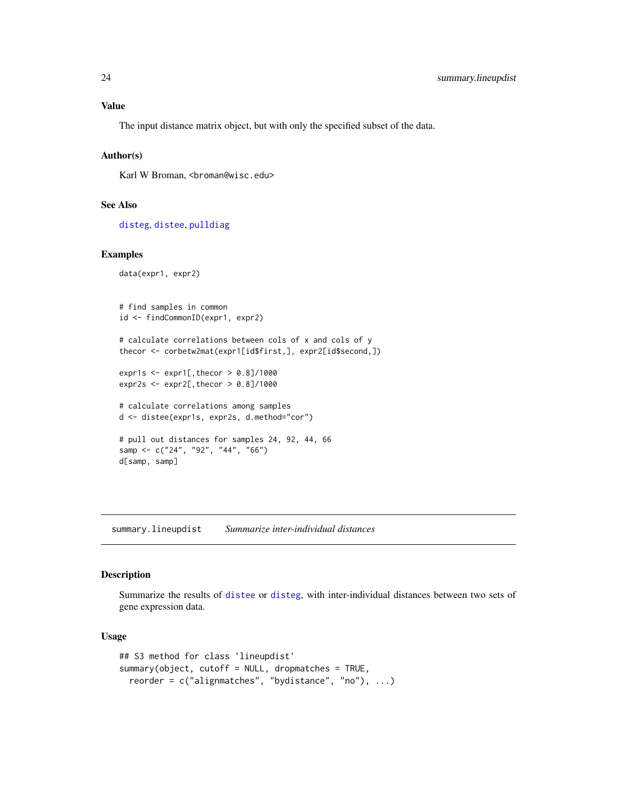<span id="page-23-0"></span>The input distance matrix object, but with only the specified subset of the data.

# Author(s)

Karl W Broman, <br />broman@wisc.edu>

# See Also

[disteg](#page-7-1), [distee](#page-5-1), [pulldiag](#page-21-1)

#### Examples

```
data(expr1, expr2)
```

```
# find samples in common
id <- findCommonID(expr1, expr2)
# calculate correlations between cols of x and cols of y
thecor <- corbetw2mat(expr1[id$first,], expr2[id$second,])
expr1s \leq - expr1[, thecor > 0.8]/1000
expr2s <- expr2[,thecor > 0.8]/1000
# calculate correlations among samples
d <- distee(expr1s, expr2s, d.method="cor")
# pull out distances for samples 24, 92, 44, 66
samp <- c("24", "92", "44", "66")
d[samp, samp]
```
<span id="page-23-1"></span>summary.lineupdist *Summarize inter-individual distances*

#### Description

Summarize the results of [distee](#page-5-1) or [disteg](#page-7-1), with inter-individual distances between two sets of gene expression data.

# Usage

```
## S3 method for class 'lineupdist'
summary(object, cutoff = NULL, dropmatches = TRUE,
 reorder = c("alignmatches", "bydistance", "no"), ...)
```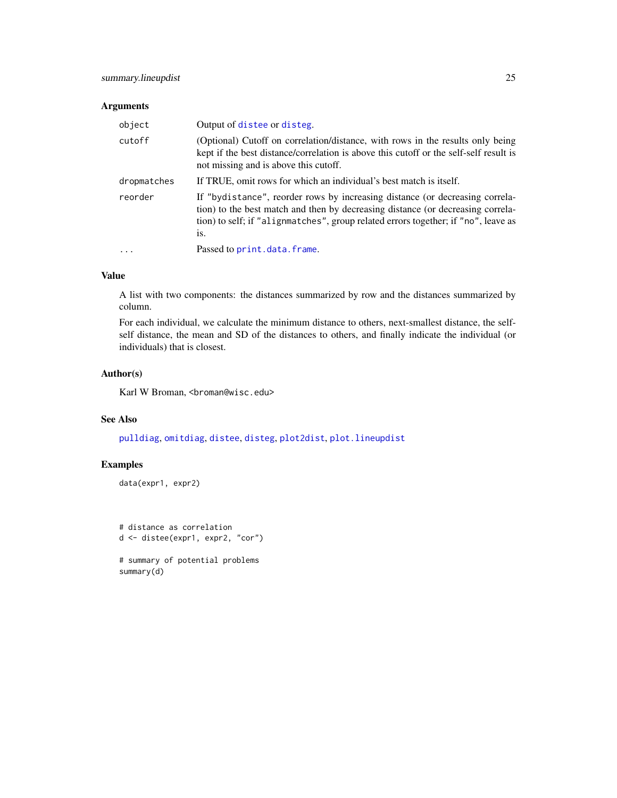# <span id="page-24-0"></span>Arguments

| object      | Output of distee or disteg.                                                                                                                                                                                                                                  |
|-------------|--------------------------------------------------------------------------------------------------------------------------------------------------------------------------------------------------------------------------------------------------------------|
| cutoff      | (Optional) Cutoff on correlation/distance, with rows in the results only being<br>kept if the best distance/correlation is above this cutoff or the self-self result is<br>not missing and is above this cutoff.                                             |
| dropmatches | If TRUE, omit rows for which an individual's best match is itself.                                                                                                                                                                                           |
| reorder     | If "bydistance", reorder rows by increasing distance (or decreasing correla-<br>tion) to the best match and then by decreasing distance (or decreasing correla-<br>tion) to self; if "alignmatches", group related errors together; if "no", leave as<br>1S. |
| $\cdot$     | Passed to print.data.frame.                                                                                                                                                                                                                                  |

# Value

A list with two components: the distances summarized by row and the distances summarized by column.

For each individual, we calculate the minimum distance to others, next-smallest distance, the selfself distance, the mean and SD of the distances to others, and finally indicate the individual (or individuals) that is closest.

# Author(s)

Karl W Broman, <br />broman@wisc.edu>

# See Also

[pulldiag](#page-21-1), [omitdiag](#page-15-1), [distee](#page-5-1), [disteg](#page-7-1), [plot2dist](#page-18-1), [plot.lineupdist](#page-16-1)

# Examples

data(expr1, expr2)

# distance as correlation d <- distee(expr1, expr2, "cor")

# summary of potential problems summary(d)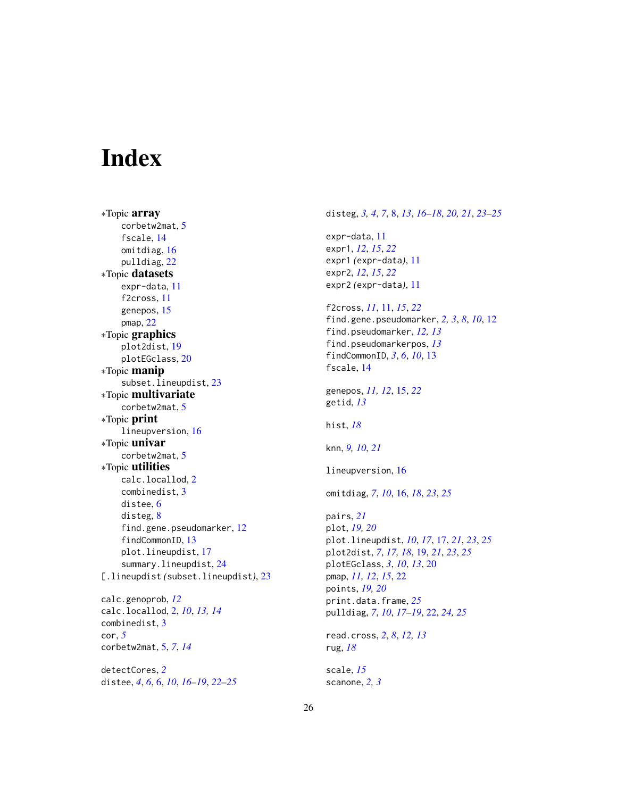# <span id="page-25-0"></span>Index

∗Topic array corbetw2mat, [5](#page-4-0) fscale, [14](#page-13-0) omitdiag, [16](#page-15-0) pulldiag, [22](#page-21-0) ∗Topic datasets expr-data, [11](#page-10-0) f2cross, [11](#page-10-0) genepos, [15](#page-14-0) pmap, [22](#page-21-0) ∗Topic graphics plot2dist, [19](#page-18-0) plotEGclass, [20](#page-19-0) ∗Topic manip subset.lineupdist, [23](#page-22-0) ∗Topic multivariate corbetw2mat, [5](#page-4-0) ∗Topic print lineupversion, [16](#page-15-0) ∗Topic univar corbetw2mat, [5](#page-4-0) ∗Topic utilities calc.locallod, [2](#page-1-0) combinedist, [3](#page-2-0) distee, [6](#page-5-0) disteg, [8](#page-7-0) find.gene.pseudomarker, [12](#page-11-0) findCommonID, [13](#page-12-0) plot.lineupdist, [17](#page-16-0) summary.lineupdist, [24](#page-23-0) [.lineupdist *(*subset.lineupdist*)*, [23](#page-22-0) calc.genoprob, *[12](#page-11-0)* calc.locallod, [2,](#page-1-0) *[10](#page-9-0)*, *[13,](#page-12-0) [14](#page-13-0)* combinedist, [3](#page-2-0) cor, *[5](#page-4-0)* corbetw2mat, [5,](#page-4-0) *[7](#page-6-0)*, *[14](#page-13-0)* detectCores, *[2](#page-1-0)* distee, *[4](#page-3-0)*, *[6](#page-5-0)*, [6,](#page-5-0) *[10](#page-9-0)*, *[16](#page-15-0)[–19](#page-18-0)*, *[22–](#page-21-0)[25](#page-24-0)*

expr-data, [11](#page-10-0) expr1, *[12](#page-11-0)*, *[15](#page-14-0)*, *[22](#page-21-0)* expr1 *(*expr-data*)*, [11](#page-10-0) expr2, *[12](#page-11-0)*, *[15](#page-14-0)*, *[22](#page-21-0)* expr2 *(*expr-data*)*, [11](#page-10-0) f2cross, *[11](#page-10-0)*, [11,](#page-10-0) *[15](#page-14-0)*, *[22](#page-21-0)* find.gene.pseudomarker, *[2,](#page-1-0) [3](#page-2-0)*, *[8](#page-7-0)*, *[10](#page-9-0)*, [12](#page-11-0) find.pseudomarker, *[12,](#page-11-0) [13](#page-12-0)* find.pseudomarkerpos, *[13](#page-12-0)* findCommonID, *[3](#page-2-0)*, *[6](#page-5-0)*, *[10](#page-9-0)*, [13](#page-12-0) fscale, [14](#page-13-0) genepos, *[11,](#page-10-0) [12](#page-11-0)*, [15,](#page-14-0) *[22](#page-21-0)* getid, *[13](#page-12-0)* hist, *[18](#page-17-0)* knn, *[9,](#page-8-0) [10](#page-9-0)*, *[21](#page-20-0)* lineupversion, [16](#page-15-0) omitdiag, *[7](#page-6-0)*, *[10](#page-9-0)*, [16,](#page-15-0) *[18](#page-17-0)*, *[23](#page-22-0)*, *[25](#page-24-0)* pairs, *[21](#page-20-0)* plot, *[19,](#page-18-0) [20](#page-19-0)* plot.lineupdist, *[10](#page-9-0)*, *[17](#page-16-0)*, [17,](#page-16-0) *[21](#page-20-0)*, *[23](#page-22-0)*, *[25](#page-24-0)* plot2dist, *[7](#page-6-0)*, *[17,](#page-16-0) [18](#page-17-0)*, [19,](#page-18-0) *[21](#page-20-0)*, *[23](#page-22-0)*, *[25](#page-24-0)* plotEGclass, *[3](#page-2-0)*, *[10](#page-9-0)*, *[13](#page-12-0)*, [20](#page-19-0) pmap, *[11,](#page-10-0) [12](#page-11-0)*, *[15](#page-14-0)*, [22](#page-21-0) points, *[19,](#page-18-0) [20](#page-19-0)* print.data.frame, *[25](#page-24-0)* pulldiag, *[7](#page-6-0)*, *[10](#page-9-0)*, *[17](#page-16-0)[–19](#page-18-0)*, [22,](#page-21-0) *[24,](#page-23-0) [25](#page-24-0)* read.cross, *[2](#page-1-0)*, *[8](#page-7-0)*, *[12,](#page-11-0) [13](#page-12-0)*

disteg, *[3,](#page-2-0) [4](#page-3-0)*, *[7](#page-6-0)*, [8,](#page-7-0) *[13](#page-12-0)*, *[16](#page-15-0)[–18](#page-17-0)*, *[20,](#page-19-0) [21](#page-20-0)*, *[23](#page-22-0)[–25](#page-24-0)*

rug, *[18](#page-17-0)* scale, *[15](#page-14-0)*

scanone, *[2,](#page-1-0) [3](#page-2-0)*